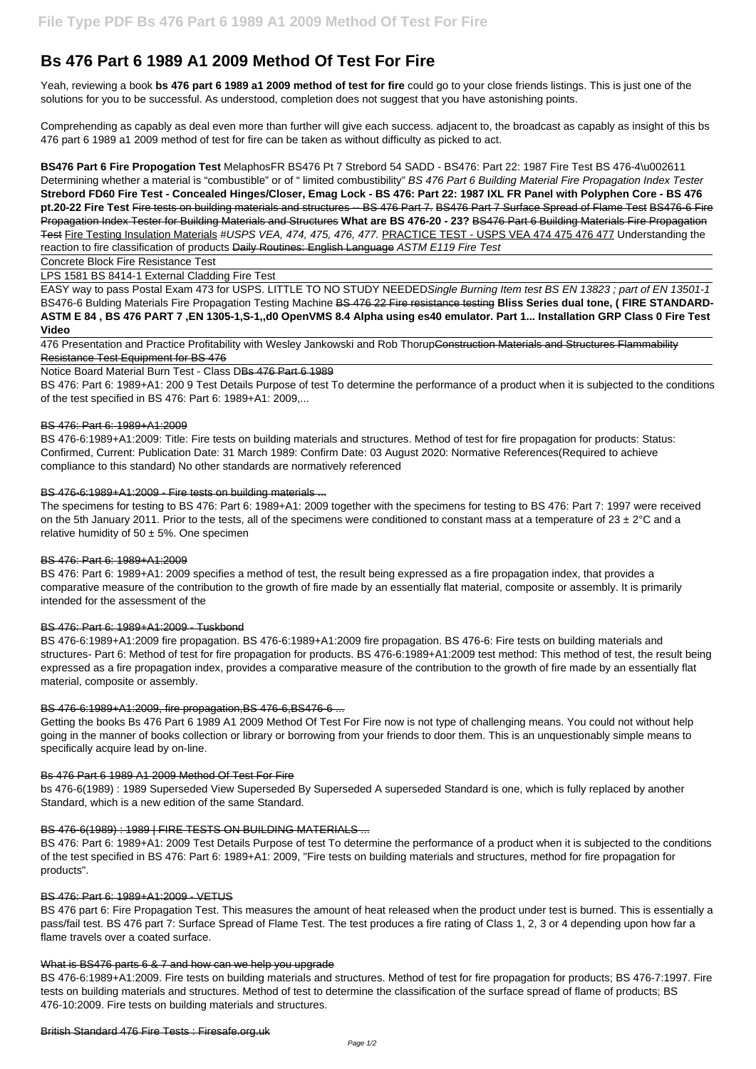# **Bs 476 Part 6 1989 A1 2009 Method Of Test For Fire**

Yeah, reviewing a book **bs 476 part 6 1989 a1 2009 method of test for fire** could go to your close friends listings. This is just one of the solutions for you to be successful. As understood, completion does not suggest that you have astonishing points.

**BS476 Part 6 Fire Propogation Test** MelaphosFR BS476 Pt 7 Strebord 54 SADD - BS476: Part 22: 1987 Fire Test BS 476-4\u002611 Determining whether a material is "combustible" or of " limited combustibility" BS 476 Part 6 Building Material Fire Propagation Index Tester **Strebord FD60 Fire Test - Concealed Hinges/Closer, Emag Lock - BS 476: Part 22: 1987 IXL FR Panel with Polyphen Core - BS 476 pt.20-22 Fire Test** Fire tests on building materials and structures -- BS 476 Part 7. BS476 Part 7 Surface Spread of Flame Test BS476-6 Fire Propagation Index Tester for Building Materials and Structures **What are BS 476-20 - 23?** BS476 Part 6 Building Materials Fire Propagation Test Fire Testing Insulation Materials #USPS VEA, 474, 475, 476, 477. PRACTICE TEST - USPS VEA 474 475 476 477 Understanding the reaction to fire classification of products Daily Routines: English Language ASTM E119 Fire Test

Comprehending as capably as deal even more than further will give each success. adjacent to, the broadcast as capably as insight of this bs 476 part 6 1989 a1 2009 method of test for fire can be taken as without difficulty as picked to act.

476 Presentation and Practice Profitability with Wesley Jankowski and Rob ThorupConstruction Materials and Structures Flammability Resistance Test Equipment for BS 476

The specimens for testing to BS 476: Part 6: 1989+A1: 2009 together with the specimens for testing to BS 476: Part 7: 1997 were received on the 5th January 2011. Prior to the tests, all of the specimens were conditioned to constant mass at a temperature of 23  $\pm$  2°C and a relative humidity of  $50 \pm 5\%$ . One specimen

Concrete Block Fire Resistance Test

LPS 1581 BS 8414-1 External Cladding Fire Test

EASY way to pass Postal Exam 473 for USPS. LITTLE TO NO STUDY NEEDEDSingle Burning Item test BS EN 13823 ; part of EN 13501-1 BS476-6 Bulding Materials Fire Propagation Testing Machine BS 476 22 Fire resistance testing **Bliss Series dual tone, ( FIRE STANDARD-ASTM E 84 , BS 476 PART 7 ,EN 1305-1,S-1,,d0 OpenVMS 8.4 Alpha using es40 emulator. Part 1... Installation GRP Class 0 Fire Test Video**

Notice Board Material Burn Test - Class DBs 476 Part 6 1989

BS 476: Part 6: 1989+A1: 200 9 Test Details Purpose of test To determine the performance of a product when it is subjected to the conditions of the test specified in BS 476: Part 6: 1989+A1: 2009,...

## BS 476: Part 6: 1989+A1:2009

BS 476-6:1989+A1:2009: Title: Fire tests on building materials and structures. Method of test for fire propagation for products: Status: Confirmed, Current: Publication Date: 31 March 1989: Confirm Date: 03 August 2020: Normative References(Required to achieve compliance to this standard) No other standards are normatively referenced

## BS 476-6:1989+A1:2009 - Fire tests on building materials ...

## BS 476: Part 6: 1989+A1:2009

BS 476: Part 6: 1989+A1: 2009 specifies a method of test, the result being expressed as a fire propagation index, that provides a comparative measure of the contribution to the growth of fire made by an essentially flat material, composite or assembly. It is primarily intended for the assessment of the

## BS 476: Part 6: 1989+A1:2009 - Tuskbond

BS 476-6:1989+A1:2009 fire propagation. BS 476-6:1989+A1:2009 fire propagation. BS 476-6: Fire tests on building materials and structures- Part 6: Method of test for fire propagation for products. BS 476-6:1989+A1:2009 test method: This method of test, the result being expressed as a fire propagation index, provides a comparative measure of the contribution to the growth of fire made by an essentially flat material, composite or assembly.

## BS 476-6:1989+A1:2009, fire propagation,BS 476-6,BS476-6 ...

Getting the books Bs 476 Part 6 1989 A1 2009 Method Of Test For Fire now is not type of challenging means. You could not without help going in the manner of books collection or library or borrowing from your friends to door them. This is an unquestionably simple means to specifically acquire lead by on-line.

## Bs 476 Part 6 1989 A1 2009 Method Of Test For Fire

bs 476-6(1989) : 1989 Superseded View Superseded By Superseded A superseded Standard is one, which is fully replaced by another Standard, which is a new edition of the same Standard.

#### BS 476-6(1989) : 1989 | FIRE TESTS ON BUILDING MATERIALS ...

BS 476: Part 6: 1989+A1: 2009 Test Details Purpose of test To determine the performance of a product when it is subjected to the conditions of the test specified in BS 476: Part 6: 1989+A1: 2009, "Fire tests on building materials and structures, method for fire propagation for products".

#### BS 476: Part 6: 1989+A1:2009 - VETUS

BS 476 part 6: Fire Propagation Test. This measures the amount of heat released when the product under test is burned. This is essentially a pass/fail test. BS 476 part 7: Surface Spread of Flame Test. The test produces a fire rating of Class 1, 2, 3 or 4 depending upon how far a flame travels over a coated surface.

#### What is BS476 parts 6 & 7 and how can we help you upgrade

BS 476-6:1989+A1:2009. Fire tests on building materials and structures. Method of test for fire propagation for products; BS 476-7:1997. Fire tests on building materials and structures. Method of test to determine the classification of the surface spread of flame of products; BS 476-10:2009. Fire tests on building materials and structures.

British Standard 476 Fire Tests : Firesafe.org.uk